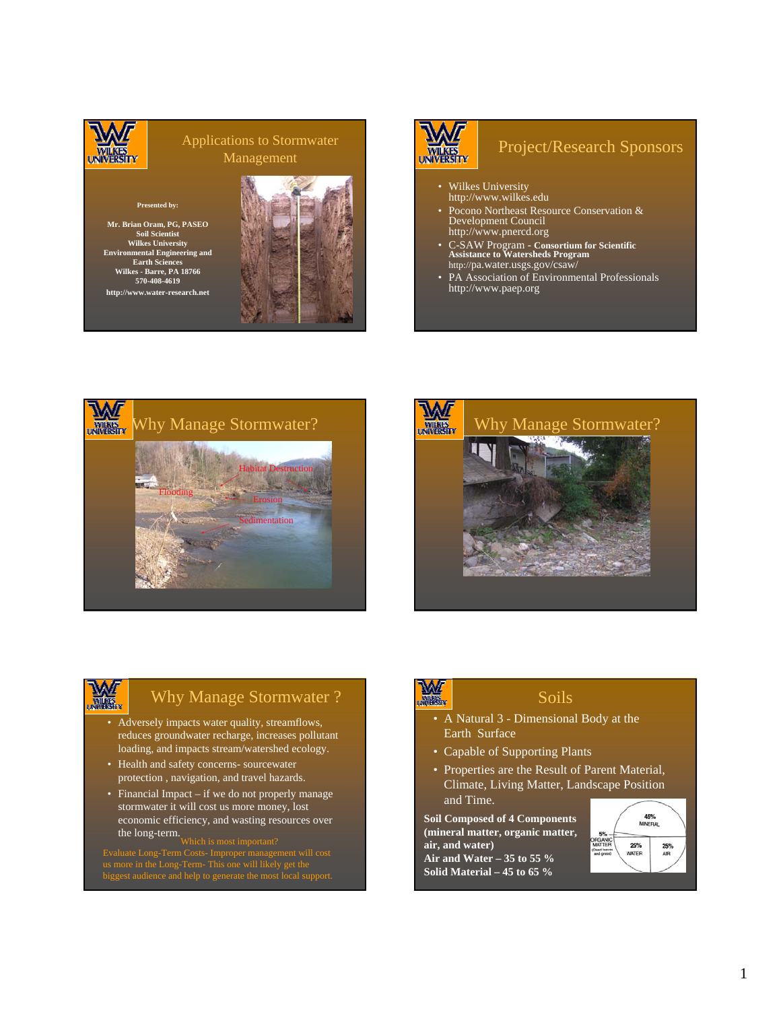

#### Applications to Stormwater Management

#### **Presented by:**

**Mr. Brian Oram, PG, PASEO Soil Scientist Wilkes University Environmental Engineering and Earth Sciences Wilkes - Barre, PA 18766 570-408-4619 http://www.water-research.net**





#### Project/Research Sponsors

- Wilkes University http://www.wilkes.edu
- Pocono Northeast Resource Conservation & Development Council http://www.pnercd.org
- C-SAW Program **Consortium for Scientific Assistance to Watersheds Program** http://pa.water.usgs.gov/csaw/
- PA Association of Environmental Professionals http://www.paep.org





## W.

### Why Manage Stormwater ?

- Adversely impacts water quality, streamflows, reduces groundwater recharge, increases pollutant loading, and impacts stream/watershed ecology.
- Health and safety concerns- sourcewater protection , navigation, and travel hazards.
- Financial Impact if we do not properly manage stormwater it will cost us more money, lost economic efficiency, and wasting resources over the long-term.<br>Which is most important?

biggest audience and help to generate the most local support.

## **WAT**

#### Soils

- A Natural 3 Dimensional Body at the Earth Surface
- Capable of Supporting Plants
- Properties are the Result of Parent Material, Climate, Living Matter, Landscape Position and Time.

**Soil Composed of 4 Components (mineral matter, organic matter, air, and water) Air and Water – 35 to 55 % Solid Material – 45 to 65 %**

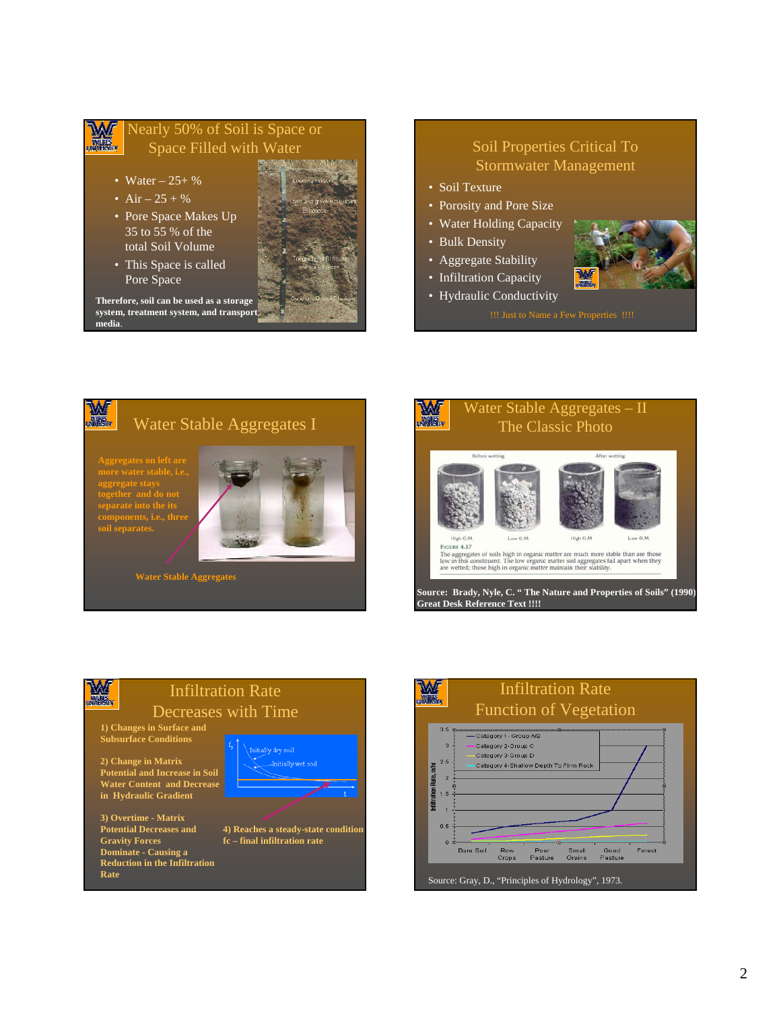#### Nearly 50% of Soil is Space or W **WIEKES** Space Filled with Water

- Water  $-25+$  %
- Air  $25 + \%$
- Pore Space Makes Up 35 to 55 % of the total Soil Volume

• This Space is called Pore Space



**Therefore, soil can be used as a storage system, treatment system, and transport media**.

#### Soil Properties Critical To Stormwater Management

- Soil Texture
- Porosity and Pore Size
- Water Holding Capacity

• Hydraulic Conductivity

- Bulk Density
- Aggregate Stability
- Infiltration Capacity









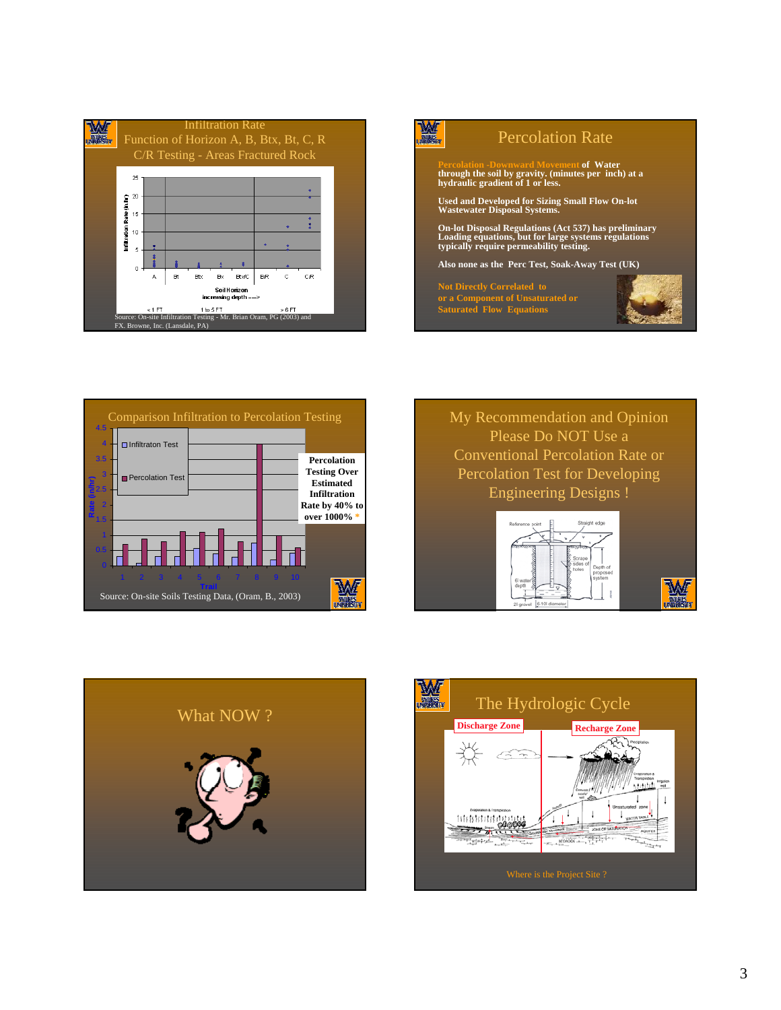





My Recommendation and Opinion Please Do NOT Use a Conventional Percolation Rate or Percolation Test for Developing Engineering Designs !



M



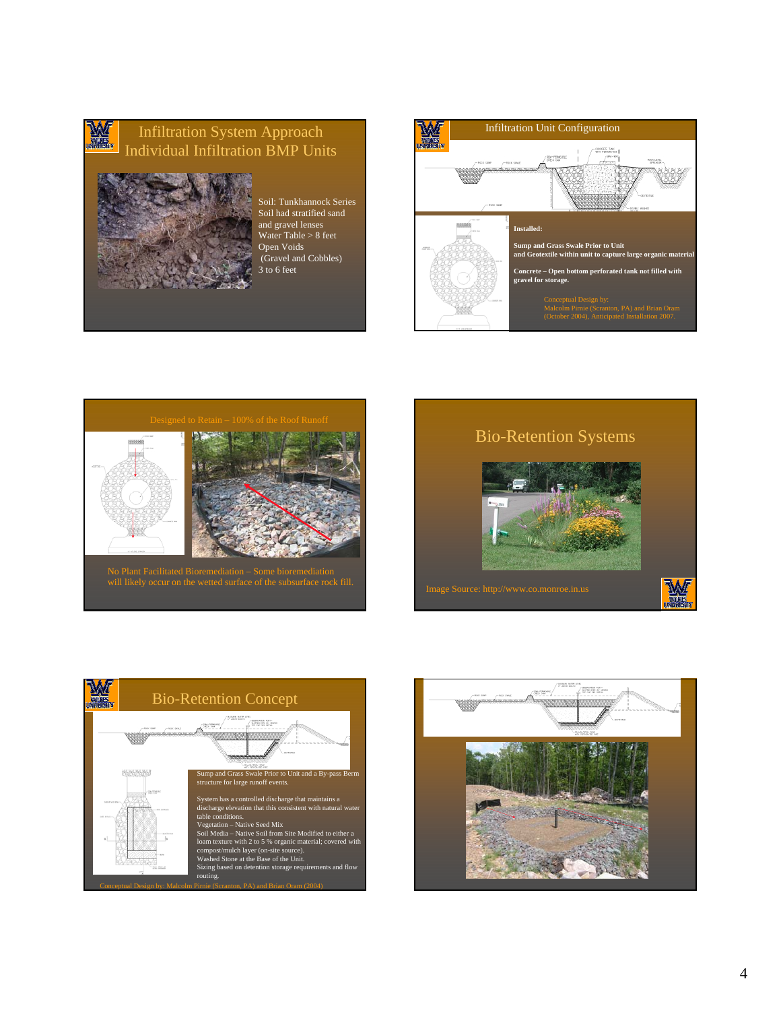#### W. Infiltration System Approach Individual Infiltration BMP Units



Soil: Tunkhannock Series Soil had stratified sand and gravel lenses Water Table > 8 feet Open Voids (Gravel and Cobbles) 3 to 6 feet









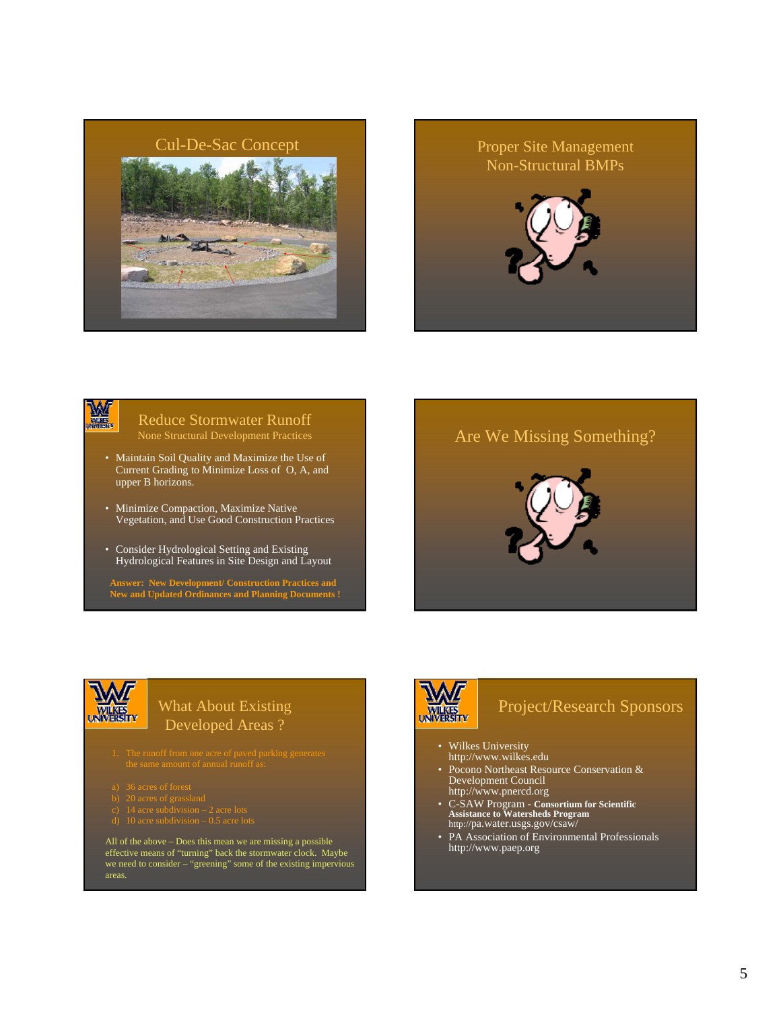

## Non-Structural BMPs



## WA

#### Reduce Stormwater Runoff None Structural Development Practices

- Maintain Soil Quality and Maximize the Use of Current Grading to Minimize Loss of O, A, and upper B horizons.
- Minimize Compaction, Maximize Native Vegetation, and Use Good Construction Practices
- Consider Hydrological Setting and Existing Hydrological Features in Site Design and Layout

**Answer: New Development/ Construction Practices and New and Updated Ordinances and Planning Documents !**



#### What About Existing Developed Areas ?

- 
- 
- 
- 
- d) 10 acre subdivision 0.5 acre lots

All of the above – Does this mean we are missing a possible effective means of "turning" back the stormwater clock. Maybe we need to consider – "greening" some of the existing impervious areas.

# **WILKES**<br>UNIVERSITY

## Project/Research Sponsors

• Wilkes University http://www.wilkes.edu

- Pocono Northeast Resource Conservation & Development Council http://www.pnercd.org
- C-SAW Program **Consortium for Scientific Assistance to Watersheds Program** http://pa.water.usgs.gov/csaw/
- PA Association of Environmental Professionals http://www.paep.org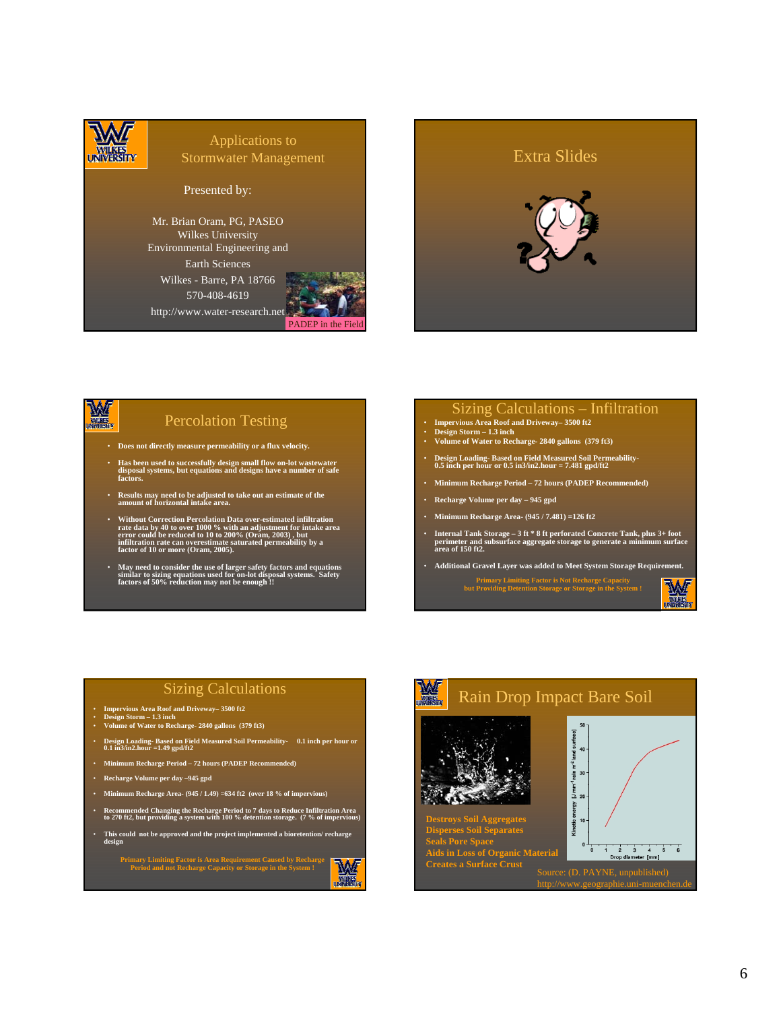

#### Applications to Stormwater Management

Presented by:

Mr. Brian Oram, PG, PASEO Wilkes University Environmental Engineering and Earth Sciences Wilkes - Barre, PA 18766 570-408-4619 http://www.water-research.net





#### W **BILARES**

#### Percolation Testing

- **Does not directly measure permeability or a flux velocity.**
- **Has been used to successfully design small flow on-lot wastewater disposal systems, but equations and designs have a number of safe factors.**
- **Results may need to be adjusted to take out an estimate of the amount of horizontal intake area.**
- Without Correction Percolation Data over-estimated infiltration<br>rate data by 40 to over 1000 % with an adjustment for intake area<br>error could be reduced to 10 to 200% (Oram, 2003), but<br>infiltration rate can overestimate
- **May need to consider the use of larger safety factors and equations similar to sizing equations used for on-lot disposal systems. Safety factors of 50% reduction may not be enough !!**

#### Sizing Calculations – Infiltration

- **Impervious Area Roof and Driveway– 3500 ft2 Design Storm 1.3 inch**
- **Volume of Water to Recharge- 2840 gallons (379 ft3)**
- **Design Loading- Based on Field Measured Soil Permeability-0.5 inch per hour or 0.5 in3/in2.hour = 7.481 gpd/ft2**
- **Minimum Recharge Period 72 hours (PADEP Recommended)**
- **Recharge Volume per day 945 gpd**
- **Minimum Recharge Area- (945 / 7.481) =126 ft2**
- **Internal Tank Storage 3 ft \* 8 ft perforated Concrete Tank, plus 3+ foot perimeter and subsurface aggregate storage to generate a minimum surface area of 150 ft2.**
- **Additional Gravel Layer was added to Meet System Storage Requirement.**

**Primary Limiting Factor is Not Recharge Capacity but Providing Detention Storage or Storage in the System !**

W 鳳凰

#### Sizing Calculations

- **Impervious Area Roof and Driveway– 3500 ft2 Design Storm 1.3 inch Volume of Water to Recharge- 2840 gallons (379 ft3)**
- 
- **Design Loading- Based on Field Measured Soil Permeability- 0.1 inch per hour or 0.1 in3/in2.hour =1.49 gpd/ft2**
- **Minimum Recharge Period 72 hours (PADEP Recommended)**
- **Recharge Volume per day –945 gpd**
- **Minimum Recharge Area- (945 / 1.49) =634 ft2 (over 18 % of impervious)**
- **Recommended Changing the Recharge Period to 7 days to Reduce Infiltration Area to 270 ft2, but providing a system with 100 % detention storage. (7 % of impervious)**
- **This could not be approved and the project implemented a bioretention/ recharge design**

**Primary Limiting Factor is Area Requirement Caused by Recharge Period and not Recharge Capacity or Storage in the System !** 

函 残废